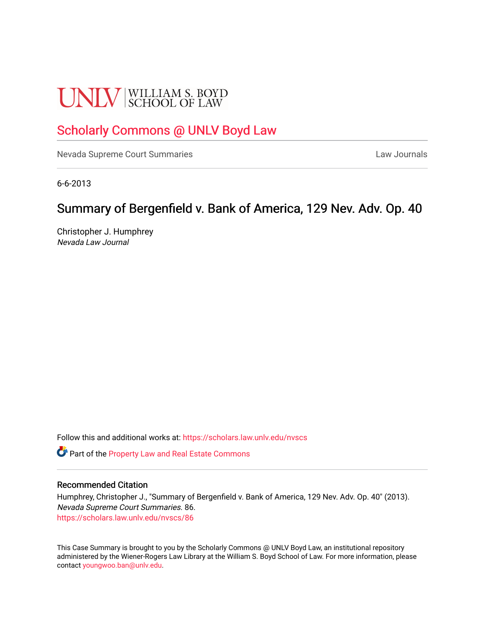# **UNLV** SCHOOL OF LAW

## [Scholarly Commons @ UNLV Boyd Law](https://scholars.law.unlv.edu/)

[Nevada Supreme Court Summaries](https://scholars.law.unlv.edu/nvscs) **Law Journals** Law Journals

6-6-2013

# Summary of Bergenfield v. Bank of America, 129 Nev. Adv. Op. 40

Christopher J. Humphrey Nevada Law Journal

Follow this and additional works at: [https://scholars.law.unlv.edu/nvscs](https://scholars.law.unlv.edu/nvscs?utm_source=scholars.law.unlv.edu%2Fnvscs%2F86&utm_medium=PDF&utm_campaign=PDFCoverPages)

Part of the [Property Law and Real Estate Commons](http://network.bepress.com/hgg/discipline/897?utm_source=scholars.law.unlv.edu%2Fnvscs%2F86&utm_medium=PDF&utm_campaign=PDFCoverPages) 

#### Recommended Citation

Humphrey, Christopher J., "Summary of Bergenfield v. Bank of America, 129 Nev. Adv. Op. 40" (2013). Nevada Supreme Court Summaries. 86. [https://scholars.law.unlv.edu/nvscs/86](https://scholars.law.unlv.edu/nvscs/86?utm_source=scholars.law.unlv.edu%2Fnvscs%2F86&utm_medium=PDF&utm_campaign=PDFCoverPages) 

This Case Summary is brought to you by the Scholarly Commons @ UNLV Boyd Law, an institutional repository administered by the Wiener-Rogers Law Library at the William S. Boyd School of Law. For more information, please contact [youngwoo.ban@unlv.edu](mailto:youngwoo.ban@unlv.edu).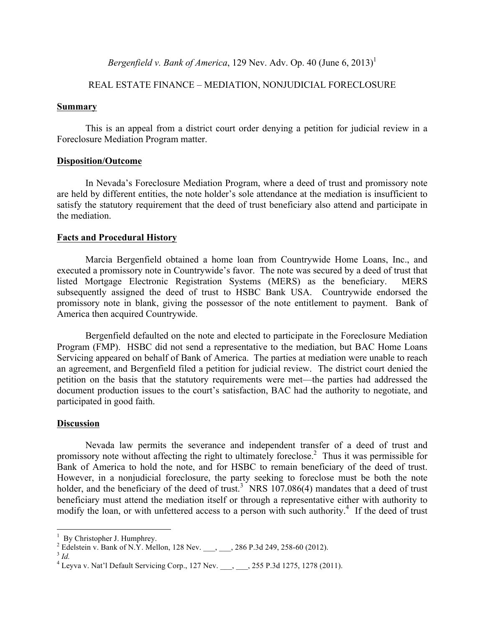*Bergenfield v. Bank of America*, 129 Nev. Adv. Op. 40 (June 6, 2013)<sup>1</sup>

## REAL ESTATE FINANCE – MEDIATION, NONJUDICIAL FORECLOSURE

#### **Summary**

This is an appeal from a district court order denying a petition for judicial review in a Foreclosure Mediation Program matter.

#### **Disposition/Outcome**

In Nevada's Foreclosure Mediation Program, where a deed of trust and promissory note are held by different entities, the note holder's sole attendance at the mediation is insufficient to satisfy the statutory requirement that the deed of trust beneficiary also attend and participate in the mediation.

#### **Facts and Procedural History**

Marcia Bergenfield obtained a home loan from Countrywide Home Loans, Inc., and executed a promissory note in Countrywide's favor. The note was secured by a deed of trust that listed Mortgage Electronic Registration Systems (MERS) as the beneficiary. MERS subsequently assigned the deed of trust to HSBC Bank USA. Countrywide endorsed the promissory note in blank, giving the possessor of the note entitlement to payment. Bank of America then acquired Countrywide.

Bergenfield defaulted on the note and elected to participate in the Foreclosure Mediation Program (FMP). HSBC did not send a representative to the mediation, but BAC Home Loans Servicing appeared on behalf of Bank of America. The parties at mediation were unable to reach an agreement, and Bergenfield filed a petition for judicial review. The district court denied the petition on the basis that the statutory requirements were met—the parties had addressed the document production issues to the court's satisfaction, BAC had the authority to negotiate, and participated in good faith.

#### **Discussion**

Nevada law permits the severance and independent transfer of a deed of trust and promissory note without affecting the right to ultimately foreclose.<sup>2</sup> Thus it was permissible for Bank of America to hold the note, and for HSBC to remain beneficiary of the deed of trust. However, in a nonjudicial foreclosure, the party seeking to foreclose must be both the note holder, and the beneficiary of the deed of trust.<sup>3</sup> NRS  $107.086(4)$  mandates that a deed of trust beneficiary must attend the mediation itself or through a representative either with authority to modify the loan, or with unfettered access to a person with such authority.<sup>4</sup> If the deed of trust

 $\frac{1}{1}$ 

<sup>&</sup>lt;sup>1</sup> By Christopher J. Humphrey.<br><sup>2</sup> Edelstein v. Bank of N.Y. Mellon, 128 Nev. \_\_\_, \_\_\_, 286 P.3d 249, 258-60 (2012).<br><sup>3</sup> *Id.* 

 $4$  Leyva v. Nat'l Default Servicing Corp., 127 Nev.  $\qquad$ ,  $255$  P.3d 1275, 1278 (2011).